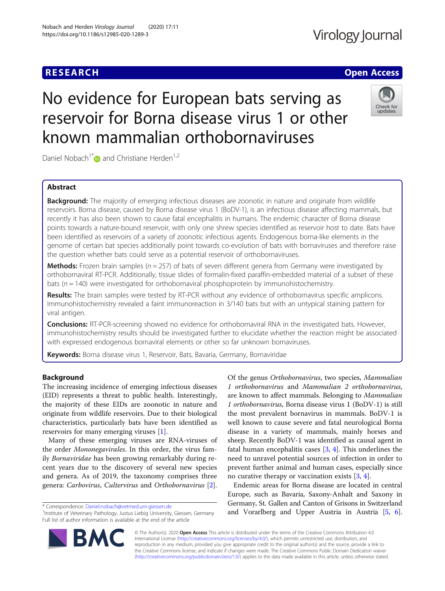#### Nobach and Herden Virology Journal (2020) 17:11 https://doi.org/10.1186/s12985-020-1289-3

### **RESEARCH CHE Open Access**

## Virology Journal

# No evidence for European bats serving as reservoir for Borna disease virus 1 or other known mammalian orthobornaviruses



Daniel Nobach<sup>1\*</sup> and Christiane Herden<sup>1,2</sup>

### Abstract

**Background:** The majority of emerging infectious diseases are zoonotic in nature and originate from wildlife reservoirs. Borna disease, caused by Borna disease virus 1 (BoDV-1), is an infectious disease affecting mammals, but recently it has also been shown to cause fatal encephalitis in humans. The endemic character of Borna disease points towards a nature-bound reservoir, with only one shrew species identified as reservoir host to date. Bats have been identified as reservoirs of a variety of zoonotic infectious agents. Endogenous borna-like elements in the genome of certain bat species additionally point towards co-evolution of bats with bornaviruses and therefore raise the question whether bats could serve as a potential reservoir of orthobornaviruses.

**Methods:** Frozen brain samples ( $n = 257$ ) of bats of seven different genera from Germany were investigated by orthobornaviral RT-PCR. Additionally, tissue slides of formalin-fixed paraffin-embedded material of a subset of these bats ( $n = 140$ ) were investigated for orthobornaviral phosphoprotein by immunohistochemistry.

Results: The brain samples were tested by RT-PCR without any evidence of orthobornavirus specific amplicons. Immunohistochemistry revealed a faint immunoreaction in 3/140 bats but with an untypical staining pattern for viral antigen.

**Conclusions:** RT-PCR-screening showed no evidence for orthobornaviral RNA in the investigated bats. However, immunohistochemistry results should be investigated further to elucidate whether the reaction might be associated with expressed endogenous bornaviral elements or other so far unknown bornaviruses.

Keywords: Borna disease virus 1, Reservoir, Bats, Bavaria, Germany, Bornaviridae

#### Background

The increasing incidence of emerging infectious diseases (EID) represents a threat to public health. Interestingly, the majority of these EIDs are zoonotic in nature and originate from wildlife reservoirs. Due to their biological characteristics, particularly bats have been identified as reservoirs for many emerging viruses [\[1](#page-4-0)].

Many of these emerging viruses are RNA-viruses of the order Mononegavirales. In this order, the virus family Bornaviridae has been growing remarkably during recent years due to the discovery of several new species and genera. As of 2019, the taxonomy comprises three genera: Carbovirus, Cultervirus and Orthobornavirus [\[2](#page-4-0)].

\* Correspondence: [Daniel.nobach@vetmed.uni-giessen.de](mailto:Daniel.nobach@vetmed.uni-giessen.de) <sup>1</sup>

<sup>1</sup> Institute of Veterinary Pathology, Justus Liebig University, Giessen, Germany Full list of author information is available at the end of the article

Of the genus Orthobornavirus, two species, Mammalian 1 orthobornavirus and Mammalian 2 orthobornavirus, are known to affect mammals. Belonging to Mammalian 1 orthobornavirus, Borna disease virus 1 (BoDV-1) is still the most prevalent bornavirus in mammals. BoDV-1 is well known to cause severe and fatal neurological Borna disease in a variety of mammals, mainly horses and sheep. Recently BoDV-1 was identified as causal agent in fatal human encephalitis cases [\[3](#page-4-0), [4](#page-4-0)]. This underlines the need to unravel potential sources of infection in order to prevent further animal and human cases, especially since no curative therapy or vaccination exists [[3,](#page-4-0) [4\]](#page-4-0).

Endemic areas for Borna disease are located in central Europe, such as Bavaria, Saxony-Anhalt and Saxony in Germany, St. Gallen and Canton of Grisons in Switzerland and Vorarlberg and Upper Austria in Austria [\[5](#page-4-0), [6](#page-4-0)].



© The Author(s). 2020 Open Access This article is distributed under the terms of the Creative Commons Attribution 4.0 International License [\(http://creativecommons.org/licenses/by/4.0/](http://creativecommons.org/licenses/by/4.0/)), which permits unrestricted use, distribution, and reproduction in any medium, provided you give appropriate credit to the original author(s) and the source, provide a link to the Creative Commons license, and indicate if changes were made. The Creative Commons Public Domain Dedication waiver [\(http://creativecommons.org/publicdomain/zero/1.0/](http://creativecommons.org/publicdomain/zero/1.0/)) applies to the data made available in this article, unless otherwise stated.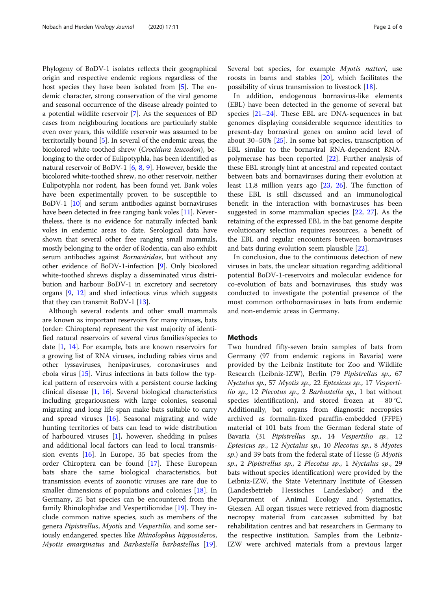Phylogeny of BoDV-1 isolates reflects their geographical origin and respective endemic regions regardless of the host species they have been isolated from [\[5\]](#page-4-0). The endemic character, strong conservation of the viral genome and seasonal occurrence of the disease already pointed to a potential wildlife reservoir [[7\]](#page-4-0). As the sequences of BD cases from neighbouring locations are particularly stable even over years, this wildlife reservoir was assumed to be territorially bound [[5\]](#page-4-0). In several of the endemic areas, the bicolored white-toothed shrew (Crocidura leucodon), belonging to the order of Eulipotyphla, has been identified as natural reservoir of BoDV-1 [\[6,](#page-4-0) [8,](#page-4-0) [9\]](#page-4-0). However, beside the bicolored white-toothed shrew, no other reservoir, neither Eulipotyphla nor rodent, has been found yet. Bank voles have been experimentally proven to be susceptible to BoDV-1 [\[10\]](#page-4-0) and serum antibodies against bornaviruses have been detected in free ranging bank voles [\[11](#page-4-0)]. Nevertheless, there is no evidence for naturally infected bank voles in endemic areas to date. Serological data have shown that several other free ranging small mammals, mostly belonging to the order of Rodentia, can also exhibit serum antibodies against Bornaviridae, but without any other evidence of BoDV-1-infection [[9\]](#page-4-0). Only bicolored white-toothed shrews display a disseminated virus distribution and harbour BoDV-1 in excretory and secretory organs [[9,](#page-4-0) [12\]](#page-4-0) and shed infectious virus which suggests that they can transmit BoDV-1 [\[13\]](#page-4-0).

Although several rodents and other small mammals are known as important reservoirs for many viruses, bats (order: Chiroptera) represent the vast majority of identified natural reservoirs of several virus families/species to date [[1,](#page-4-0) [14](#page-4-0)]. For example, bats are known reservoirs for a growing list of RNA viruses, including rabies virus and other lyssaviruses, henipaviruses, coronaviruses and ebola virus [[15\]](#page-4-0). Virus infections in bats follow the typical pattern of reservoirs with a persistent course lacking clinical disease [[1,](#page-4-0) [16\]](#page-4-0). Several biological characteristics including gregariousness with large colonies, seasonal migrating and long life span make bats suitable to carry and spread viruses [[16](#page-4-0)]. Seasonal migrating and wide hunting territories of bats can lead to wide distribution of harboured viruses  $[1]$  $[1]$ , however, shedding in pulses and additional local factors can lead to local transmission events  $[16]$  $[16]$ . In Europe, 35 bat species from the order Chiroptera can be found [\[17\]](#page-4-0). These European bats share the same biological characteristics, but transmission events of zoonotic viruses are rare due to smaller dimensions of populations and colonies [[18\]](#page-4-0). In Germany, 25 bat species can be encountered from the family Rhinolophidae and Vespertilionidae [\[19](#page-4-0)]. They include common native species, such as members of the genera Pipistrellus, Myotis and Vespertilio, and some seriously endangered species like Rhinolophus hipposideros, Myotis emarginatus and Barbastella barbastellus [\[19](#page-4-0)]. Several bat species, for example Myotis natteri, use roosts in barns and stables [[20\]](#page-4-0), which facilitates the possibility of virus transmission to livestock [[18](#page-4-0)].

In addition, endogenous bornavirus-like elements (EBL) have been detected in the genome of several bat species  $[21-24]$  $[21-24]$  $[21-24]$  $[21-24]$  $[21-24]$ . These EBL are DNA-sequences in bat genomes displaying considerable sequence identities to present-day bornaviral genes on amino acid level of about 30–50% [[25\]](#page-4-0). In some bat species, transcription of EBL similar to the bornaviral RNA-dependent RNApolymerase has been reported [[22\]](#page-4-0). Further analysis of these EBL strongly hint at ancestral and repeated contact between bats and bornaviruses during their evolution at least 11,8 million years ago [[23](#page-4-0), [26](#page-4-0)]. The function of these EBL is still discussed and an immunological benefit in the interaction with bornaviruses has been suggested in some mammalian species [\[22,](#page-4-0) [27](#page-5-0)]. As the retaining of the expressed EBL in the bat genome despite evolutionary selection requires resources, a benefit of the EBL and regular encounters between bornaviruses and bats during evolution seem plausible [[22\]](#page-4-0).

In conclusion, due to the continuous detection of new viruses in bats, the unclear situation regarding additional potential BoDV-1-reservoirs and molecular evidence for co-evolution of bats and bornaviruses, this study was conducted to investigate the potential presence of the most common orthobornaviruses in bats from endemic and non-endemic areas in Germany.

#### Methods

Two hundred fifty-seven brain samples of bats from Germany (97 from endemic regions in Bavaria) were provided by the Leibniz Institute for Zoo and Wildlife Research (Leibniz-IZW), Berlin (79 Pipistrellus sp., 67 Nyctalus sp., 57 Myotis sp., 22 Eptesicus sp., 17 Vespertilio sp., 12 Plecotus sp., 2 Barbastella sp., 1 bat without species identification), and stored frozen at − 80 °C. Additionally, bat organs from diagnostic necropsies archived as formalin-fixed paraffin-embedded (FFPE) material of 101 bats from the German federal state of Bavaria (31 Pipistrellus sp., 14 Vespertilio sp., 12 Eptesicus sp., 12 Nyctalus sp., 10 Plecotus sp., 8 Myotes sp.) and 39 bats from the federal state of Hesse (5 *Myotis* sp., 2 Pipistrellus sp., 2 Plecotus sp., 1 Nyctalus sp., 29 bats without species identification) were provided by the Leibniz-IZW, the State Veterinary Institute of Giessen (Landesbetrieb Hessisches Landeslabor) and the Department of Animal Ecology and Systematics, Giessen. All organ tissues were retrieved from diagnostic necropsy material from carcasses submitted by bat rehabilitation centres and bat researchers in Germany to the respective institution. Samples from the Leibniz-IZW were archived materials from a previous larger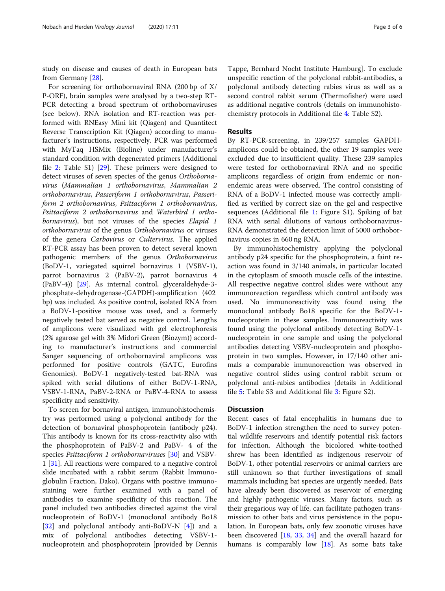study on disease and causes of death in European bats from Germany [\[28](#page-5-0)].

For screening for orthobornaviral RNA (200 bp of X/ P-ORF), brain samples were analysed by a two-step RT-PCR detecting a broad spectrum of orthobornaviruses (see below). RNA isolation and RT-reaction was performed with RNEasy Mini kit (Qiagen) and Quantitect Reverse Transcription Kit (Qiagen) according to manufacturer's instructions, respectively. PCR was performed with MyTaq HSMix (Bioline) under manufacturer's standard condition with degenerated primers (Additional file [2:](#page-3-0) Table S1) [[29](#page-5-0)]. These primers were designed to detect viruses of seven species of the genus Orthobornavirus (Mammalian 1 orthobornavirus, Mammalian 2 orthobornavirus, Passeriform 1 orthobornavirus, Passeriform 2 orthobornavirus, Psittaciform 1 orthobornavirus, Psittaciform 2 orthobornavirus and Waterbird 1 orthobornavirus), but not viruses of the species Elapid 1 orthobornavirus of the genus Orthobornavirus or viruses of the genera Carbovirus or Cultervirus. The applied RT-PCR assay has been proven to detect several known pathogenic members of the genus Orthobornavirus (BoDV-1, variegated squirrel bornavirus 1 (VSBV-1), parrot bornavirus 2 (PaBV-2), parrot bornavirus 4 (PaBV-4)) [\[29\]](#page-5-0). As internal control, glyceraldehyde-3 phosphate-dehydrogenase-(GAPDH)-amplification (402 bp) was included. As positive control, isolated RNA from a BoDV-1-positive mouse was used, and a formerly negatively tested bat served as negative control. Lengths of amplicons were visualized with gel electrophoresis (2% agarose gel with 3% Midori Green (Biozym)) according to manufacturer's instructions and commercial Sanger sequencing of orthobornaviral amplicons was performed for positive controls (GATC, Eurofins Genomics). BoDV-1 negatively-tested bat-RNA was spiked with serial dilutions of either BoDV-1-RNA, VSBV-1-RNA, PaBV-2-RNA or PaBV-4-RNA to assess specificity and sensitivity.

To screen for bornaviral antigen, immunohistochemistry was performed using a polyclonal antibody for the detection of bornaviral phosphoprotein (antibody p24). This antibody is known for its cross-reactivity also with the phosphoprotein of PaBV-2 and PaBV- 4 of the species *Psittaciform 1 orthobornaviruses* [[30\]](#page-5-0) and VSBV-1 [[31](#page-5-0)]. All reactions were compared to a negative control slide incubated with a rabbit serum (Rabbit Immunoglobulin Fraction, Dako). Organs with positive immunostaining were further examined with a panel of antibodies to examine specificity of this reaction. The panel included two antibodies directed against the viral nucleoprotein of BoDV-1 (monoclonal antibody Bo18 [[32\]](#page-5-0) and polyclonal antibody anti-BoDV-N  $[4]$  $[4]$ ) and a mix of polyclonal antibodies detecting VSBV-1 nucleoprotein and phosphoprotein [provided by Dennis

Tappe, Bernhard Nocht Institute Hamburg]. To exclude unspecific reaction of the polyclonal rabbit-antibodies, a polyclonal antibody detecting rabies virus as well as a second control rabbit serum (Thermofisher) were used as additional negative controls (details on immunohistochemistry protocols in Additional file [4:](#page-4-0) Table S2).

#### Results

By RT-PCR-screening, in 239/257 samples GAPDHamplicons could be obtained, the other 19 samples were excluded due to insufficient quality. These 239 samples were tested for orthobornaviral RNA and no specific amplicons regardless of origin from endemic or nonendemic areas were observed. The control consisting of RNA of a BoDV-1 infected mouse was correctly amplified as verified by correct size on the gel and respective sequences (Additional file [1:](#page-3-0) Figure S1). Spiking of bat RNA with serial dilutions of various orthobornavirus-RNA demonstrated the detection limit of 5000 orthobornavirus copies in 660 ng RNA.

By immunohistochemistry applying the polyclonal antibody p24 specific for the phosphoprotein, a faint reaction was found in 3/140 animals, in particular located in the cytoplasm of smooth muscle cells of the intestine. All respective negative control slides were without any immunoreaction regardless which control antibody was used. No immunoreactivity was found using the monoclonal antibody Bo18 specific for the BoDV-1 nucleoprotein in these samples. Immunoreactivity was found using the polyclonal antibody detecting BoDV-1 nucleoprotein in one sample and using the polyclonal antibodies detecting VSBV-nucleoprotein and phosphoprotein in two samples. However, in 17/140 other animals a comparable immunoreaction was observed in negative control slides using control rabbit serum or polyclonal anti-rabies antibodies (details in Additional file [5:](#page-4-0) Table S3 and Additional file [3](#page-3-0): Figure S2).

#### **Discussion**

Recent cases of fatal encephalitis in humans due to BoDV-1 infection strengthen the need to survey potential wildlife reservoirs and identify potential risk factors for infection. Although the bicolored white-toothed shrew has been identified as indigenous reservoir of BoDV-1, other potential reservoirs or animal carriers are still unknown so that further investigations of small mammals including bat species are urgently needed. Bats have already been discovered as reservoir of emerging and highly pathogenic viruses. Many factors, such as their gregarious way of life, can facilitate pathogen transmission to other bats and virus persistence in the population. In European bats, only few zoonotic viruses have been discovered [[18,](#page-4-0) [33,](#page-5-0) [34\]](#page-5-0) and the overall hazard for humans is comparably low [\[18](#page-4-0)]. As some bats take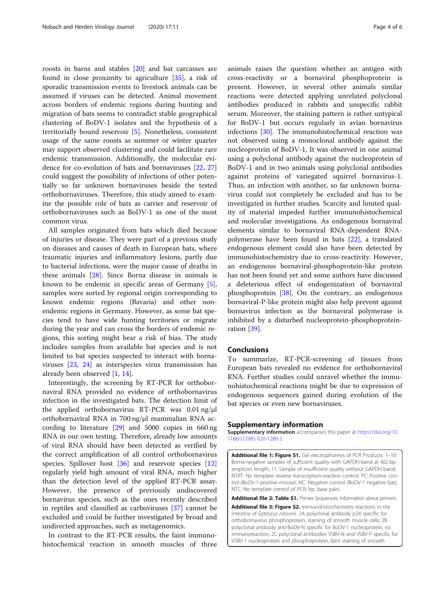<span id="page-3-0"></span>roosts in barns and stables [\[20\]](#page-4-0) and bat carcasses are found in close proximity to agriculture [\[35](#page-5-0)], a risk of sporadic transmission events to livestock animals can be assumed if viruses can be detected. Animal movement across borders of endemic regions during hunting and migration of bats seems to contradict stable geographical clustering of BoDV-1 isolates and the hypothesis of a territorially bound reservoir [\[5](#page-4-0)]. Nonetheless, consistent usage of the same roosts as summer or winter quarter may support observed clustering and could facilitate rare endemic transmission. Additionally, the molecular evidence for co-evolution of bats and bornaviruses [\[22,](#page-4-0) [27](#page-5-0)] could suggest the possibility of infections of other potentially so far unknown bornaviruses beside the tested orthobornaviruses. Therefore, this study aimed to examine the possible role of bats as carrier and reservoir of orthobornaviruses such as BoDV-1 as one of the most common virus.

All samples originated from bats which died because of injuries or disease. They were part of a previous study on diseases and causes of death in European bats, where traumatic injuries and inflammatory lesions, partly due to bacterial infections, were the major cause of deaths in these animals [[28\]](#page-5-0). Since Borna disease in animals is known to be endemic in specific areas of Germany [\[5](#page-4-0)], samples were sorted by regional origin corresponding to known endemic regions (Bavaria) and other nonendemic regions in Germany. However, as some bat species tend to have wide hunting territories or migrate during the year and can cross the borders of endemic regions, this sorting might bear a risk of bias. The study includes samples from available bat species and is not limited to bat species suspected to interact with bornaviruses [\[23,](#page-4-0) [24](#page-4-0)] as interspecies virus transmission has already been observed [\[1](#page-4-0), [14](#page-4-0)].

Interestingly, the screening by RT-PCR for orthobornaviral RNA provided no evidence of orthobornavirus infection in the investigated bats. The detection limit of the applied orthobornavirus RT-PCR was 0.01 ng/μl orthobornaviral RNA in 700 ng/μl mammalian RNA according to literature [[29\]](#page-5-0) and 5000 copies in 660 ng RNA in our own testing. Therefore, already low amounts of viral RNA should have been detected as verified by the correct amplification of all control orthobornavirus species. Spillover host [\[36\]](#page-5-0) and reservoir species [[12](#page-4-0)] regularly yield high amount of viral RNA, much higher than the detection level of the applied RT-PCR assay. However, the presence of previously undiscovered bornavirus species, such as the ones recently described in reptiles and classified as carboviruses [\[37\]](#page-5-0) cannot be excluded and could be further investigated by broad and undirected approaches, such as metagenomics.

In contrast to the RT-PCR results, the faint immunohistochemical reaction in smooth muscles of three animals raises the question whether an antigen with cross-reactivity or a bornaviral phosphoprotein is present. However, in several other animals similar reactions were detected applying unrelated polyclonal antibodies produced in rabbits and unspecific rabbit serum. Moreover, the staining pattern is rather untypical for BoDV-1 but occurs regularly in avian bornavirus infections [[30](#page-5-0)]. The immunohistochemical reaction was not observed using a monoclonal antibody against the nucleoprotein of BoDV-1. It was observed in one animal using a polyclonal antibody against the nucleoprotein of BoDV-1 and in two animals using polyclonal antibodies against proteins of variegated squirrel bornavirus-1. Thus, an infection with another, so far unknown bornavirus could not completely be excluded and has to be investigated in further studies. Scarcity and limited quality of material impeded further immunohistochemical and molecular investigations. As endogenous bornaviral elements similar to bornaviral RNA-dependent RNApolymerase have been found in bats [\[22](#page-4-0)], a translated endogenous element could also have been detected by immunohistochemistry due to cross-reactivity. However, an endogenous bornaviral-phosphoprotein-like protein has not been found yet and some authors have discussed a deleterious effect of endogenization of bornaviral phosphoprotein  $[38]$  $[38]$  $[38]$ . On the contrary, an endogenous bornaviral-P-like protein might also help prevent against bornavirus infection as the bornaviral polymerase is inhibited by a disturbed nucleoprotein-phosphoproteinration [\[39\]](#page-5-0).

#### Conclusions

To summarize, RT-PCR-screening of tissues from European bats revealed no evidence for orthobornaviral RNA. Further studies could unravel whether the immunohistochemical reactions might be due to expression of endogenous sequences gained during evolution of the bat species or even new bornaviruses.

#### Supplementary information

Supplementary information accompanies this paper at [https://doi.org/10.](https://doi.org/10.1186/s12985-020-1289-3) [1186/s12985-020-1289-3.](https://doi.org/10.1186/s12985-020-1289-3)

Additional file 1: Figure S1. Gel electrophoresis of PCR Products. 1-10: Borna-negative samples of sufficient quality with GAPDH-band at 402 bpamplicon length; 11: Sample of insufficient quality without GAPDH-band; NTRT: No template reverse transcription-reaction control; PC: Positive control (BoDV-1-positive mouse); NC: Negative control (BoDV-1 negative bat); NTC: No template control of PCR; bp: base pairs.

Additional file 2: Table S1. Primer Sequences. Information about primers.

Additional file 3: Figure S2. Immunohistochemistry reactions in the intestine of Eptesicus nilssonii. 2A polyclonal antibody p24 specific for orthobornavirus phosphoprotein, staining of smooth muscle cells; 2B polyclonal antibody anti-BoDV-N specific for BoDV-1 nucleoprotein, no immunoreaction; 2C polyclonal antibodies VSBV-N and VSBV-P specific for VSBV-1 nucleoprotein and phosphoprotein, faint staining of smooth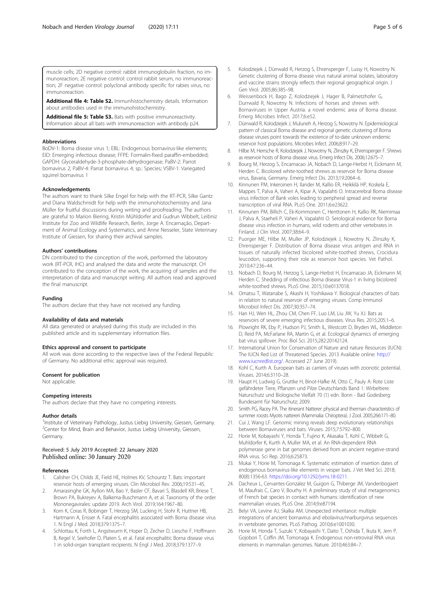<span id="page-4-0"></span>Additional file 4: Table S2. Immunhistochemistry details. Information about antibodies used in the immunohistochemistry.

Additional file 5: Table S3. Bats with positive immunoreactivity. Information about all bats with immunoreaction with antibody p24.

#### Abbreviations

BoDV-1: Borna disease virus 1; EBL: Endogenous bornavirus-like elements; EID: Emerging infectious disease; FFPE: Formalin-fixed paraffin-embedded; GAPDH: Glyceraldehyde-3-phosphate-dehydrogenase; PaBV-2: Parrot bornavirus 2; PaBV-4: Parrat bornavirus 4; sp.: Species; VSBV-1: Variegated squirrel bornavirus 1

#### Acknowledgements

The authors want to thank Silke Engel for help with the RT-PCR, Silke Gantz and Diana Waldschmidt for help with the immunohistochemistry and Jana Müller for fruitful discussions during writing and proofreading. The authors are grateful to Marion Biering, Kristin Mühldorfer and Gudrun Wibbelt, Leibniz Institute for Zoo and Wildlife Research, Berlin, Jorge A. Encarnação, Department of Animal Ecology and Systematics, and Anne Nesseler, State Veterinary Institute of Giessen, for sharing their archival samples.

#### Authors' contributions

DN contributed to the conception of the work, performed the laboratory work (RT-PCR, IHC) and analysed the data and wrote the manuscript. CH contributed to the conception of the work, the acquiring of samples and the interpretation of data and manuscript writing. All authors read and approved the final manuscript.

#### Funding

The authors declare that they have not received any funding.

#### Availability of data and materials

All data generated or analysed during this study are included in this published article and its supplementary information files.

#### Ethics approval and consent to participate

All work was done according to the respective laws of the Federal Republic of Germany. No additional ethic approval was required.

#### Consent for publication

Not applicable.

#### Competing interests

The authors declare that they have no competing interests.

#### Author details

<sup>1</sup>Institute of Veterinary Pathology, Justus Liebig University, Giessen, Germany. <sup>2</sup>Center for Mind, Brain and Behavior, Justus Liebig University, Giessen, Germany.

#### Received: 5 July 2019 Accepted: 22 January 2020 Published online: 30 January 2020

#### References

- 1. Calisher CH, Childs JE, Field HE, Holmes KV, Schountz T. Bats: important reservoir hosts of emerging viruses. Clin Microbiol Rev. 2006;19:531–45.
- 2. Amarasinghe GK, Ayllon MA, Bao Y, Basler CF, Bavari S, Blasdell KR, Briese T, Brown PA, Bukreyev A, Balkema-Buschmann A, et al. Taxonomy of the order Mononegavirales: update 2019. Arch Virol. 2019;164:1967–80.
- Korn K, Coras R, Bobinger T, Herzog SM, Lucking H, Stohr R, Huttner HB, Hartmann A, Ensser A. Fatal encephalitis associated with Borna disease virus 1. N Engl J Med. 2018;379:1375–7.
- 4. Schlottau K, Forth L, Angstwurm K, Hoper D, Zecher D, Liesche F, Hoffmann B, Kegel V, Seehofer D, Platen S, et al. Fatal encephalitic Borna disease virus 1 in solid-organ transplant recipients. N Engl J Med. 2018;379:1377–9.
- 6. Weissenbock H, Bago Z, Kolodziejek J, Hager B, Palmetzhofer G, Durrwald R, Nowotny N. Infections of horses and shrews with Bornaviruses in Upper Austria: a novel endemic area of Borna disease. Emerg Microbes Infect. 2017;6:e52.
- 7. Dürrwald R, Kolodziejek J, Muluneh A, Herzog S, Nowotny N. Epidemiological pattern of classical Borna disease and regional genetic clustering of Borna disease viruses point towards the existence of to-date unknown endemic reservoir host populations. Microbes Infect. 2006;8:917–29.
- 8. Hilbe M, Herrsche R, Kolodziejek J, Nowotny N, Zlinszky K, Ehrensperger F. Shrews as reservoir hosts of Borna disease virus. Emerg Infect Dis. 2006;12:675–7.
- 9. Bourg M, Herzog S, Encarnacao JA, Nobach D, Lange-Herbst H, Eickmann M, Herden C. Bicolored white-toothed shrews as reservoir for Borna disease virus, Bavaria, Germany. Emerg Infect Dis. 2013;19:2064–6.
- 10. Kinnunen PM, Inkeroinen H, Ilander M, Kallio ER, Heikkilä HP, Koskela E, Mappes T, Palva A, Vaheri A, Kipar A, Vapalahti O. Intracerebral Borna disease virus infection of Bank voles leading to peripheral spread and reverse transcription of viral RNA. PLoS One. 2011;6:e23622.
- 11. Kinnunen PM, Billich C, Ek-Kommonen C, Henttonen H, Kallio RK, Niemimaa J, Palva A, Staeheli P, Vaheri A, Vapalahti O. Serological evidence for Borna disease virus infection in humans, wild rodents and other vertebrates in Finland. J Clin Virol. 2007;38:64–9.
- 12. Puorger ME, Hilbe M, Muller JP, Kolodziejek J, Nowotny N, Zlinszky K, Ehrensperger F. Distribution of Borna disease virus antigen and RNA in tissues of naturally infected bicolored white-toothed shrews, Crocidura leucodon, supporting their role as reservoir host species. Vet Pathol. 2010;47:236–44.
- 13. Nobach D, Bourg M, Herzog S, Lange-Herbst H, Encarnacao JA, Eickmann M, Herden C. Shedding of infectious Borna disease Virus-1 in living bicolored white-toothed shrews. PLoS One. 2015;10:e0137018.
- 14. Omatsu T, Watanabe S, Akashi H, Yoshikawa Y. Biological characters of bats in relation to natural reservoir of emerging viruses. Comp Immunol Microbiol Infect Dis. 2007;30:357–74.
- 15. Han HJ, Wen HL, Zhou CM, Chen FF, Luo LM, Liu JW, Yu XJ. Bats as reservoirs of severe emerging infectious diseases. Virus Res. 2015;205:1–6.
- 16. Plowright RK, Eby P, Hudson PJ, Smith IL, Westcott D, Bryden WL, Middleton D, Reid PA, McFarlane RA, Martin G, et al. Ecological dynamics of emerging bat virus spillover. Proc Biol Sci. 2015;282:20142124.
- 17. International Union for Conservation of Nature and nature Resources (IUCN): The IUCN Red List of Threatened Species. 2013 Available online: [http://](http://www.iucnredlist.org/) [www.iucnredlist.org/.](http://www.iucnredlist.org/) Accessed 27 June 2019).
- 18. Kohl C, Kurth A. European bats as carriers of viruses with zoonotic potential. Viruses. 2014;6:3110–28.
- 19. Haupt H, Ludwig G, Gruttke H, Binot-Hafke M, Otto C, Pauly A: Rote Liste gefährdeter Tiere, Pflanzen und Pilze Deutschlands Band 1: Wirbeltiere. Naturschutz und Biologische Vielfalt 70 (1) edn. Bonn - Bad Godesberg: Bundesamt für Naturschutz; 2009.
- 20. Smith PG, Racey PA. The itinerant Natterer: physical and therman characteristics of summer roosts Myotis nattereri (Mammalia: Chiroptera). J Zool. 2005;266:171–80.
- 21. Cui J, Wang LF. Genomic mining reveals deep evolutionary relationships between Bornaviruses and bats. Viruses. 2015;7:5792–800.
- 22. Horie M, Kobayashi Y, Honda T, Fujino K, Akasaka T, Kohl C, Wibbelt G, Muhldorfer K, Kurth A, Muller MA, et al. An RNA-dependent RNA polymerase gene in bat genomes derived from an ancient negative-strand RNA virus. Sci Rep. 2016;6:25873.
- 23. Mukai Y, Horie M, Tomonaga K. Systematic estimation of insertion dates of endogenous bornavirus-like elements in vesper bats. J Vet Med Sci. 2018; 80(8):1356-63. [https://doi.org/10.1292/jvms.18-0211.](https://doi.org/10.1292/jvms.18-0211)
- 24. Dacheux L, Cervantes-Gonzalez M, Guigon G, Thiberge JM, Vandenbogaert M, Maufrais C, Caro V, Bourhy H. A preliminary study of viral metagenomics of French bat species in contact with humans: identification of new mammalian viruses. PLoS One. 2014;9:e87194.
- 25. Belyi VA, Levine AJ, Skalka AM. Unexpected inheritance: multiple integrations of ancient bornavirus and ebolavirus/marburgvirus sequences in vertebrate genomes. PLoS Pathog. 2010;6:e1001030.
- 26. Horie M, Honda T, Suzuki Y, Kobayashi Y, Daito T, Oshida T, Ikuta K, Jern P, Gojobori T, Coffin JM, Tomonaga K. Endogenous non-retroviral RNA virus elements in mammalian genomes. Nature. 2010;463:84–7.